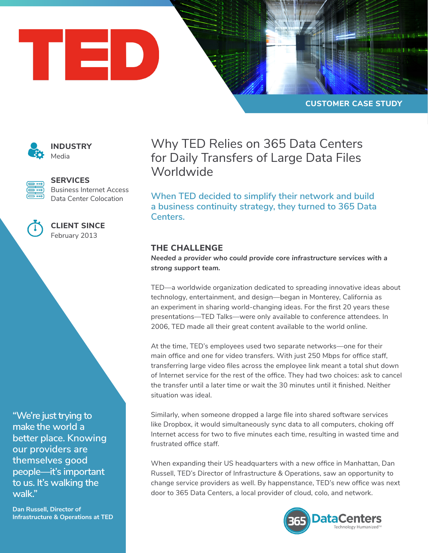



**INDUSTRY** Media



**SERVICES**

Business Internet Access Data Center Colocation



**CLIENT SINCE** February 2013

**"We're just trying to make the world a better place. Knowing our providers are themselves good people—it's important to us. It's walking the walk."**

**Dan Russell, Director of Infrastructure & Operations at TED** Why TED Relies on 365 Data Centers for Daily Transfers of Large Data Files **Worldwide** 

**When TED decided to simplify their network and build a business continuity strategy, they turned to 365 Data Centers.** 

## **THE CHALLENGE**

*Needed a provider who could provide core infrastructure services with a strong support team.*

TED—a worldwide organization dedicated to spreading innovative ideas about technology, entertainment, and design—began in Monterey, California as an experiment in sharing world-changing ideas. For the first 20 years these presentations—TED Talks—were only available to conference attendees. In 2006, TED made all their great content available to the world online.

At the time, TED's employees used two separate networks—one for their main office and one for video transfers. With just 250 Mbps for office staff, transferring large video files across the employee link meant a total shut down of Internet service for the rest of the office. They had two choices: ask to cancel the transfer until a later time or wait the 30 minutes until it finished. Neither situation was ideal.

Similarly, when someone dropped a large file into shared software services like Dropbox, it would simultaneously sync data to all computers, choking off Internet access for two to five minutes each time, resulting in wasted time and frustrated office staff.

When expanding their US headquarters with a new office in Manhattan, Dan Russell, TED's Director of Infrastructure & Operations, saw an opportunity to change service providers as well. By happenstance, TED's new office was next door to 365 Data Centers, a local provider of cloud, colo, and network.

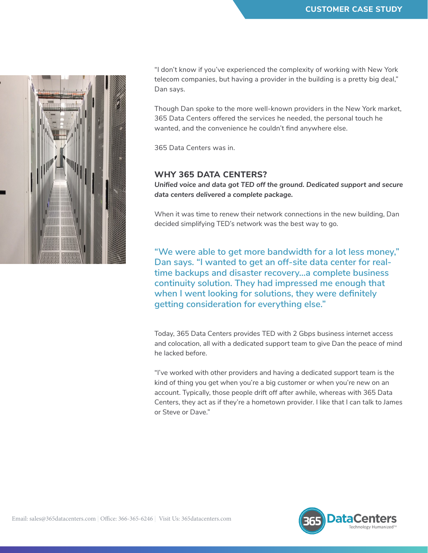

"I don't know if you've experienced the complexity of working with New York telecom companies, but having a provider in the building is a pretty big deal," Dan says.

Though Dan spoke to the more well-known providers in the New York market, 365 Data Centers offered the services he needed, the personal touch he wanted, and the convenience he couldn't find anywhere else.

365 Data Centers was in.

## **WHY 365 DATA CENTERS?**

*Unified voice and data got TED off the ground. Dedicated support and secure data centers delivered a complete package.*

When it was time to renew their network connections in the new building, Dan decided simplifying TED's network was the best way to go.

**"We were able to get more bandwidth for a lot less money," Dan says. "I wanted to get an off-site data center for realtime backups and disaster recovery…a complete business continuity solution. They had impressed me enough that when I went looking for solutions, they were definitely getting consideration for everything else."** 

Today, 365 Data Centers provides TED with 2 Gbps business internet access and colocation, all with a dedicated support team to give Dan the peace of mind he lacked before.

"I've worked with other providers and having a dedicated support team is the kind of thing you get when you're a big customer or when you're new on an account. Typically, those people drift off after awhile, whereas with 365 Data Centers, they act as if they're a hometown provider. I like that I can talk to James or Steve or Dave."